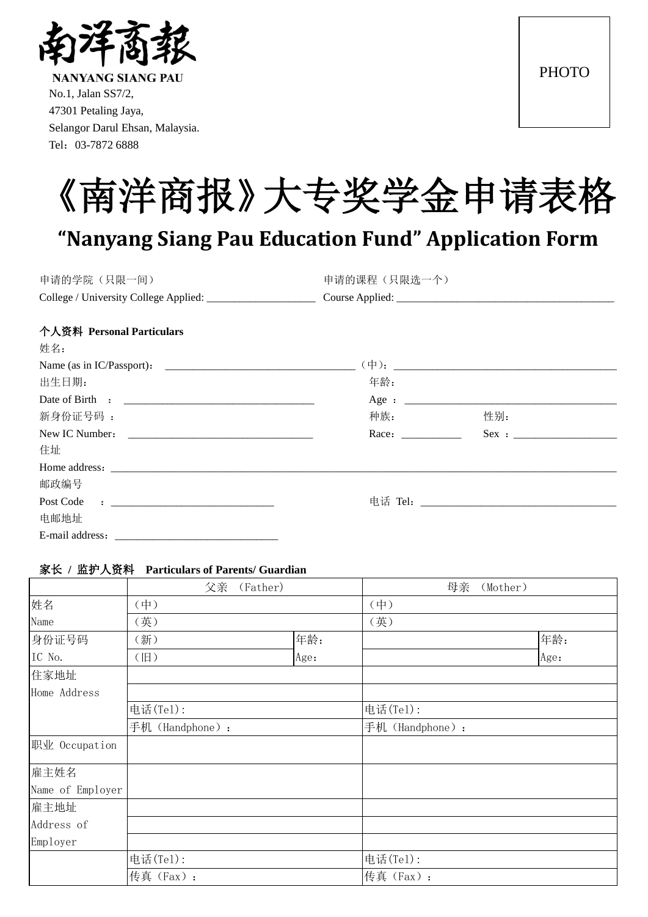

**NANYANG SIANG PAU** No.1, Jalan SS7/2, 47301 Petaling Jaya, Selangor Darul Ehsan, Malaysia. Tel:03-7872 6888



# **"Nanyang Siang Pau Education Fund" Application Form**

| 申请的学院(只限一间)                           | 申请的课程(只限选一个)    |
|---------------------------------------|-----------------|
| College / University College Applied: | Course Applied: |
|                                       |                 |

#### 个人资料 **Personal Particulars**

| 姓名:                                                                                                                          |       |                                                                                                                                                                                                                                     |  |
|------------------------------------------------------------------------------------------------------------------------------|-------|-------------------------------------------------------------------------------------------------------------------------------------------------------------------------------------------------------------------------------------|--|
|                                                                                                                              |       |                                                                                                                                                                                                                                     |  |
| 出生日期:                                                                                                                        | 年龄:   |                                                                                                                                                                                                                                     |  |
|                                                                                                                              |       |                                                                                                                                                                                                                                     |  |
| 新身份证号码:                                                                                                                      | 种族:   | 性别:                                                                                                                                                                                                                                 |  |
|                                                                                                                              | Race: | $Sex : \_$                                                                                                                                                                                                                          |  |
| 住址                                                                                                                           |       |                                                                                                                                                                                                                                     |  |
|                                                                                                                              |       |                                                                                                                                                                                                                                     |  |
| 邮政编号                                                                                                                         |       |                                                                                                                                                                                                                                     |  |
| Post Code<br>the contract of the contract of the contract of the contract of the contract of the contract of the contract of |       | 电话 Tel: <b>the contract of the contract of the contract of the contract of the contract of the contract of the contract of the contract of the contract of the contract of the contract of the contract of the contract of the </b> |  |
| 电邮地址                                                                                                                         |       |                                                                                                                                                                                                                                     |  |
| E-mail address:                                                                                                              |       |                                                                                                                                                                                                                                     |  |

#### 家长 **/** 监护人资料 **Particulars of Parents/ Guardian**

|                  | 父亲<br>(Father) |      | 母亲<br>(Mother) |      |  |
|------------------|----------------|------|----------------|------|--|
| 姓名               | (中)            |      | $(\#)$         |      |  |
| Name             | (英)            |      | (英)            |      |  |
| 身份证号码            | (新)            | 年龄:  |                | 年龄:  |  |
| IC No.           | (旧)            | Age: |                | Age: |  |
| 住家地址             |                |      |                |      |  |
| Home Address     |                |      |                |      |  |
|                  | 电话(Tel):       |      | 电话(Tel):       |      |  |
|                  | 手机(Handphone): |      | 手机(Handphone): |      |  |
| 职业 Occupation    |                |      |                |      |  |
| 雇主姓名             |                |      |                |      |  |
| Name of Employer |                |      |                |      |  |
| 雇主地址             |                |      |                |      |  |
| Address of       |                |      |                |      |  |
| Employer         |                |      |                |      |  |
|                  | 电话(Tel):       |      | 电话(Tel):       |      |  |
|                  | 传真(Fax):       |      | 传真 (Fax):      |      |  |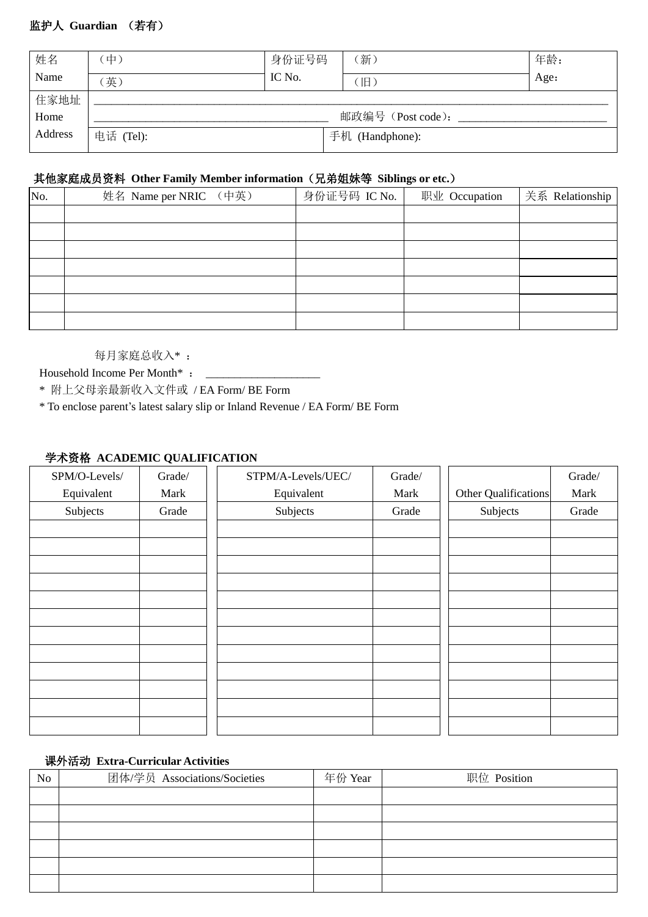## 监护人 **Guardian** (若有)

| 姓名      | 中)        | 身份证号码  | [新)               | 年龄:  |
|---------|-----------|--------|-------------------|------|
| Name    | 英)        | IC No. | 旧                 | Age: |
| 住家地址    |           |        |                   |      |
| Home    |           |        | 邮政编号 (Post code): |      |
| Address | 电话 (Tel): |        | 手机 (Handphone):   |      |
|         |           |        |                   |      |

## 其他家庭成员资料 **Other Family Member information**(兄弟姐妹等 **Siblings or etc.**)

| No. | 姓名 Name per NRIC (中英) | 身份证号码 IC No. | 职业 Occupation | 关系 Relationship |
|-----|-----------------------|--------------|---------------|-----------------|
|     |                       |              |               |                 |
|     |                       |              |               |                 |
|     |                       |              |               |                 |
|     |                       |              |               |                 |
|     |                       |              |               |                 |
|     |                       |              |               |                 |
|     |                       |              |               |                 |

每月家庭总收入\* :

Household Income Per Month\* : \_\_\_\_\_\_\_\_\_\_\_\_\_\_\_\_\_\_\_\_

\* 附上父母亲最新收入文件或 / EA Form/ BE Form

\* To enclose parent's latest salary slip or Inland Revenue / EA Form/ BE Form

## 学术资格 **ACADEMIC QUALIFICATION**

| SPM/O-Levels/ | Grade/ | STPM/A-Levels/UEC/ | Grade/ |                      | Grade/ |
|---------------|--------|--------------------|--------|----------------------|--------|
| Equivalent    | Mark   | Equivalent         | Mark   | Other Qualifications | Mark   |
| Subjects      | Grade  | Subjects           | Grade  | Subjects             | Grade  |
|               |        |                    |        |                      |        |
|               |        |                    |        |                      |        |
|               |        |                    |        |                      |        |
|               |        |                    |        |                      |        |
|               |        |                    |        |                      |        |
|               |        |                    |        |                      |        |
|               |        |                    |        |                      |        |
|               |        |                    |        |                      |        |
|               |        |                    |        |                      |        |
|               |        |                    |        |                      |        |
|               |        |                    |        |                      |        |
|               |        |                    |        |                      |        |

### 课外活动 **Extra-Curricular Activities**

| No | 团体/学员 Associations/Societies | 年份 Year | 职位 Position |
|----|------------------------------|---------|-------------|
|    |                              |         |             |
|    |                              |         |             |
|    |                              |         |             |
|    |                              |         |             |
|    |                              |         |             |
|    |                              |         |             |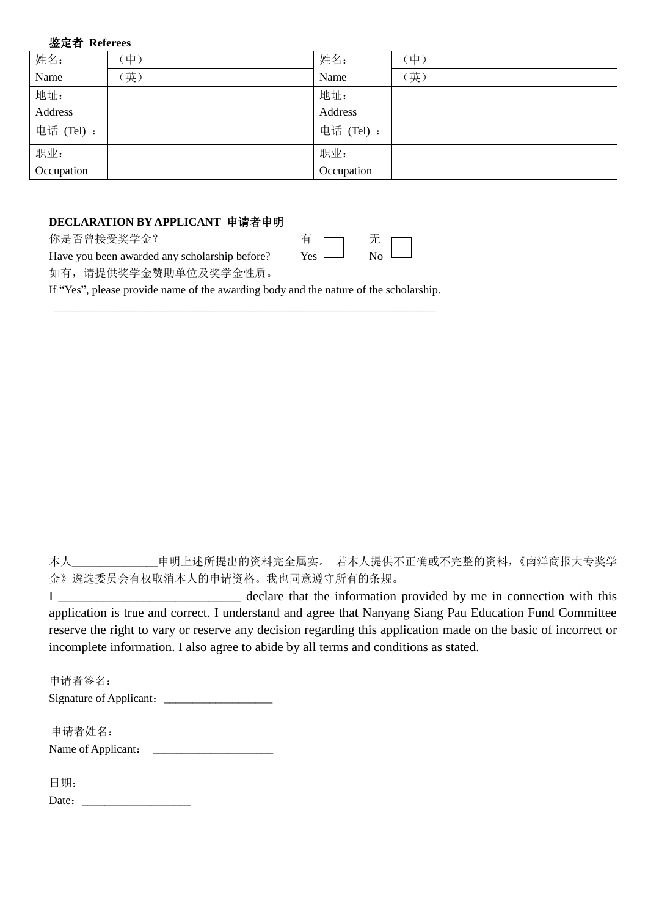#### 鉴定者 **Referees**

| 姓名:        | 中) | 姓名:        | 中)  |
|------------|----|------------|-----|
| Name       | 英) | Name       | (英) |
| 地址:        |    | 地址:        |     |
| Address    |    | Address    |     |
| 电话 (Tel):  |    | 电话 (Tel) : |     |
| 职业:        |    | 职业:        |     |
| Occupation |    | Occupation |     |

## **DECLARATION BY APPLICANT** 申请者申明

你是否曾接受奖学金?

| –   |    |  |
|-----|----|--|
| Yes | Nο |  |

Have you been awarded any scholarship before? 如有,请提供奖学金赞助单位及奖学金性质。

If "Yes", please provide name of the awarding body and the nature of the scholarship.

\_\_\_\_\_\_\_\_\_\_\_\_\_\_\_\_\_\_\_\_\_\_\_\_\_\_\_\_\_\_\_\_\_\_\_\_\_\_\_\_\_\_\_\_\_\_\_\_\_\_\_\_\_\_\_\_\_\_\_\_\_\_\_\_\_\_\_\_\_\_\_\_\_\_\_\_\_\_

本人\_\_\_\_\_\_\_\_\_\_\_\_\_\_\_申明上述所提出的资料完全属实。 若本人提供不正确或不完整的资料,《南洋商报大专奖学 金》遴选委员会有权取消本人的申请资格。我也同意遵守所有的条规。

| declare that the information provided by me in connection with this                                            |
|----------------------------------------------------------------------------------------------------------------|
| application is true and correct. I understand and agree that Nanyang Siang Pau Education Fund Committee        |
| reserve the right to vary or reserve any decision regarding this application made on the basic of incorrect or |
| incomplete information. I also agree to abide by all terms and conditions as stated.                           |

申请者签名: Signature of Applicant:\_\_\_\_\_\_\_\_\_\_\_\_\_\_\_\_\_\_\_

 申请者姓名: Name of Applicant: \_\_\_\_\_\_\_\_\_\_\_\_\_\_\_\_\_\_\_\_\_

日期:

Date:\_\_\_\_\_\_\_\_\_\_\_\_\_\_\_\_\_\_\_